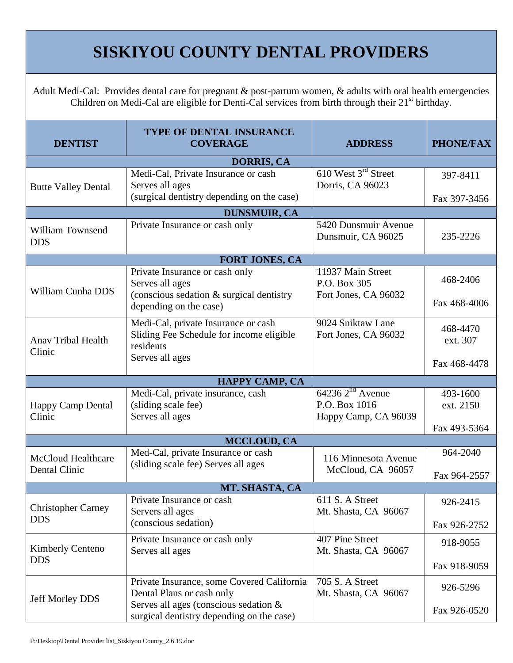## **SISKIYOU COUNTY DENTAL PROVIDERS**

Adult Medi-Cal: Provides dental care for pregnant & post-partum women, & adults with oral health emergencies Children on Medi-Cal are eligible for Denti-Cal services from birth through their 21<sup>st</sup> birthday.

| <b>DENTIST</b>                                    | <b>TYPE OF DENTAL INSURANCE</b><br><b>COVERAGE</b>                                           | <b>ADDRESS</b>                                                | <b>PHONE/FAX</b>      |  |  |
|---------------------------------------------------|----------------------------------------------------------------------------------------------|---------------------------------------------------------------|-----------------------|--|--|
| <b>DORRIS, CA</b>                                 |                                                                                              |                                                               |                       |  |  |
| <b>Butte Valley Dental</b>                        | Medi-Cal, Private Insurance or cash<br>Serves all ages                                       | 610 West 3 <sup>rd</sup> Street<br>Dorris, CA 96023           | 397-8411              |  |  |
|                                                   | (surgical dentistry depending on the case)                                                   |                                                               | Fax 397-3456          |  |  |
| <b>DUNSMUIR, CA</b>                               |                                                                                              |                                                               |                       |  |  |
| William Townsend<br><b>DDS</b>                    | Private Insurance or cash only                                                               | 5420 Dunsmuir Avenue<br>Dunsmuir, CA 96025                    | 235-2226              |  |  |
| <b>FORT JONES, CA</b>                             |                                                                                              |                                                               |                       |  |  |
| William Cunha DDS                                 | Private Insurance or cash only<br>Serves all ages                                            | 11937 Main Street<br>P.O. Box 305                             | 468-2406              |  |  |
|                                                   | (conscious sedation & surgical dentistry<br>depending on the case)                           | Fort Jones, CA 96032                                          | Fax 468-4006          |  |  |
| <b>Anav Tribal Health</b><br>Clinic               | Medi-Cal, private Insurance or cash<br>Sliding Fee Schedule for income eligible<br>residents | 9024 Sniktaw Lane<br>Fort Jones, CA 96032                     | 468-4470<br>ext. 307  |  |  |
|                                                   | Serves all ages                                                                              |                                                               | Fax 468-4478          |  |  |
| <b>HAPPY CAMP, CA</b>                             |                                                                                              |                                                               |                       |  |  |
| <b>Happy Camp Dental</b><br>Clinic                | Medi-Cal, private insurance, cash<br>(sliding scale fee)<br>Serves all ages                  | $64236$ $2nd$ Avenue<br>P.O. Box 1016<br>Happy Camp, CA 96039 | 493-1600<br>ext. 2150 |  |  |
|                                                   |                                                                                              |                                                               | Fax 493-5364          |  |  |
| MCCLOUD, CA                                       |                                                                                              |                                                               |                       |  |  |
| <b>McCloud Healthcare</b><br><b>Dental Clinic</b> | Med-Cal, private Insurance or cash<br>(sliding scale fee) Serves all ages                    | 116 Minnesota Avenue<br>McCloud, CA 96057                     | 964-2040              |  |  |
|                                                   |                                                                                              |                                                               | Fax 964-2557          |  |  |
| MT. SHASTA, CA                                    |                                                                                              |                                                               |                       |  |  |
| <b>Christopher Carney</b><br><b>DDS</b>           | Private Insurance or cash<br>Servers all ages                                                | 611 S. A Street<br>Mt. Shasta, CA 96067                       | 926-2415              |  |  |
|                                                   | (conscious sedation)                                                                         |                                                               | Fax 926-2752          |  |  |
| <b>Kimberly Centeno</b><br><b>DDS</b>             | Private Insurance or cash only<br>Serves all ages                                            | 407 Pine Street<br>Mt. Shasta, CA 96067                       | 918-9055              |  |  |
|                                                   |                                                                                              |                                                               | Fax 918-9059          |  |  |
| <b>Jeff Morley DDS</b>                            | Private Insurance, some Covered California<br>Dental Plans or cash only                      | 705 S. A Street<br>Mt. Shasta, CA 96067                       | 926-5296              |  |  |
|                                                   | Serves all ages (conscious sedation &<br>surgical dentistry depending on the case)           |                                                               | Fax 926-0520          |  |  |